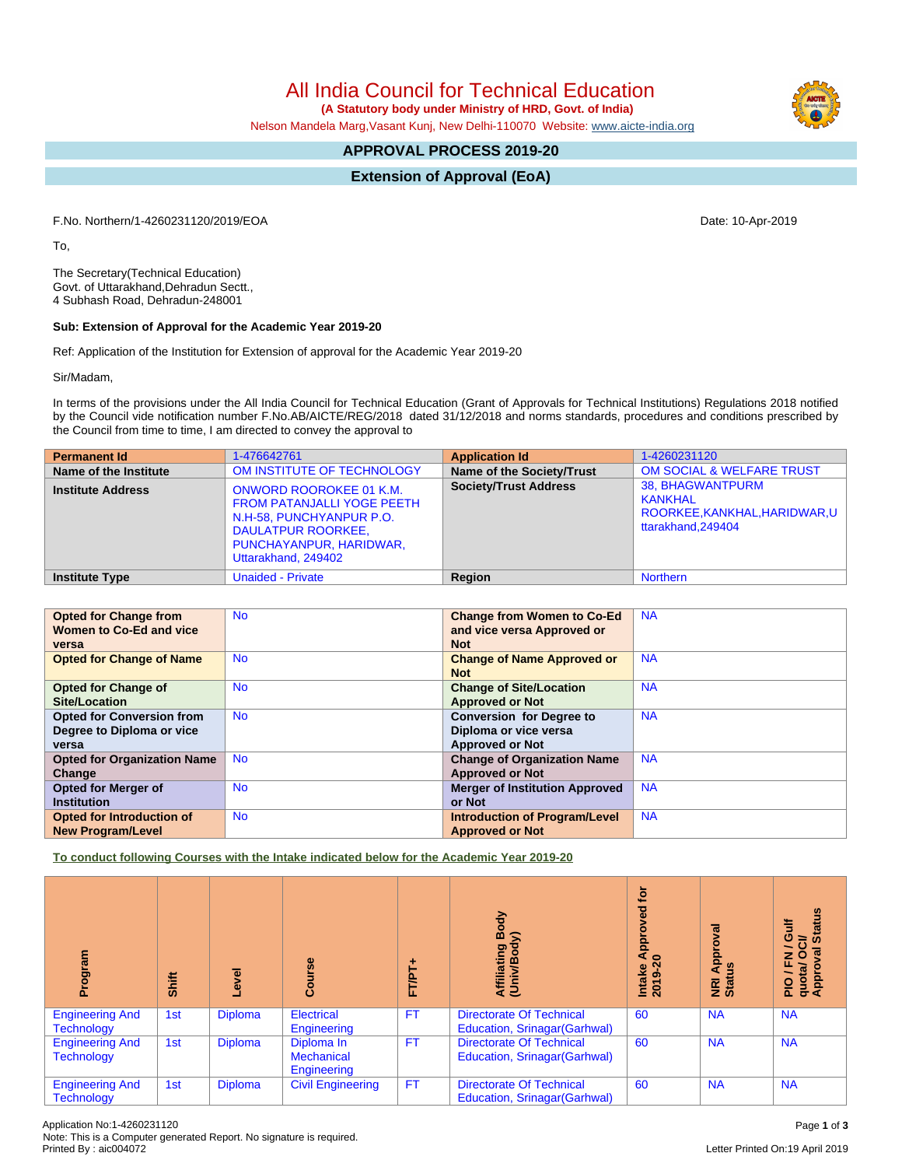All India Council for Technical Education

 **(A Statutory body under Ministry of HRD, Govt. of India)**

Nelson Mandela Marg,Vasant Kunj, New Delhi-110070 Website: [www.aicte-india.org](http://www.aicte-india.org)

# **APPROVAL PROCESS 2019-20**

**Extension of Approval (EoA)**

F.No. Northern/1-4260231120/2019/EOA Date: 10-Apr-2019

To,

The Secretary(Technical Education) Govt. of Uttarakhand,Dehradun Sectt., 4 Subhash Road, Dehradun-248001

### **Sub: Extension of Approval for the Academic Year 2019-20**

Ref: Application of the Institution for Extension of approval for the Academic Year 2019-20

Sir/Madam,

In terms of the provisions under the All India Council for Technical Education (Grant of Approvals for Technical Institutions) Regulations 2018 notified by the Council vide notification number F.No.AB/AICTE/REG/2018 dated 31/12/2018 and norms standards, procedures and conditions prescribed by the Council from time to time, I am directed to convey the approval to

| <b>Permanent Id</b>      | 1-476642761                                                                                                                                                             | <b>Application Id</b>        | 1-4260231120                                                                             |
|--------------------------|-------------------------------------------------------------------------------------------------------------------------------------------------------------------------|------------------------------|------------------------------------------------------------------------------------------|
| Name of the Institute    | OM INSTITUTE OF TECHNOLOGY                                                                                                                                              | Name of the Society/Trust    | <b>OM SOCIAL &amp; WELFARE TRUST</b>                                                     |
| <b>Institute Address</b> | <b>ONWORD ROOROKEE 01 K.M.</b><br><b>FROM PATANJALLI YOGE PEETH</b><br>N.H-58, PUNCHYANPUR P.O.<br>DAULATPUR ROORKEE,<br>PUNCHAYANPUR, HARIDWAR,<br>Uttarakhand, 249402 | <b>Society/Trust Address</b> | <b>38. BHAGWANTPURM</b><br>KANKHAL<br>ROORKEE, KANKHAL, HARIDWAR, U<br>ttarakhand.249404 |
| <b>Institute Type</b>    | <b>Unaided - Private</b>                                                                                                                                                | Region                       | <b>Northern</b>                                                                          |

| <b>Opted for Change from</b>       | <b>No</b> | <b>Change from Women to Co-Ed</b>     | <b>NA</b> |
|------------------------------------|-----------|---------------------------------------|-----------|
| Women to Co-Ed and vice            |           | and vice versa Approved or            |           |
| versa                              |           | <b>Not</b>                            |           |
| <b>Opted for Change of Name</b>    | <b>No</b> | <b>Change of Name Approved or</b>     | <b>NA</b> |
|                                    |           | <b>Not</b>                            |           |
| <b>Opted for Change of</b>         | <b>No</b> | <b>Change of Site/Location</b>        | <b>NA</b> |
| <b>Site/Location</b>               |           | <b>Approved or Not</b>                |           |
| <b>Opted for Conversion from</b>   | <b>No</b> | <b>Conversion for Degree to</b>       | <b>NA</b> |
| Degree to Diploma or vice          |           | Diploma or vice versa                 |           |
| versa                              |           | <b>Approved or Not</b>                |           |
| <b>Opted for Organization Name</b> | <b>No</b> | <b>Change of Organization Name</b>    | <b>NA</b> |
| Change                             |           | <b>Approved or Not</b>                |           |
| <b>Opted for Merger of</b>         | <b>No</b> | <b>Merger of Institution Approved</b> | <b>NA</b> |
| <b>Institution</b>                 |           | or Not                                |           |
| Opted for Introduction of          | <b>No</b> | <b>Introduction of Program/Level</b>  | <b>NA</b> |
| <b>New Program/Level</b>           |           | <b>Approved or Not</b>                |           |

**To conduct following Courses with the Intake indicated below for the Academic Year 2019-20**

| $\overline{\text{mm}}$<br>ခွ                | Shift | Level          | Course                                         | FT/PT+    | Body<br>$\widehat{\ge}$<br>Affiliating<br>(Univ/Body            | tor<br>yed<br>ppro<br>⋖<br>$\circ$<br>2019-2<br>Intake | ख़<br>ဝ<br>ō.<br>ō<br>g<br>∢<br>NRI<br>Statu | <b>Status</b><br>F<br>ō<br>õ<br>∽<br>g<br>O<br>z<br>اF / ب<br>  quota<br>  Approv |
|---------------------------------------------|-------|----------------|------------------------------------------------|-----------|-----------------------------------------------------------------|--------------------------------------------------------|----------------------------------------------|-----------------------------------------------------------------------------------|
| <b>Engineering And</b><br><b>Technology</b> | 1st   | <b>Diploma</b> | <b>Electrical</b><br>Engineering               | <b>FT</b> | <b>Directorate Of Technical</b><br>Education, Srinagar(Garhwal) | 60                                                     | <b>NA</b>                                    | <b>NA</b>                                                                         |
| <b>Engineering And</b><br><b>Technology</b> | 1st   | <b>Diploma</b> | Diploma In<br><b>Mechanical</b><br>Engineering | <b>FT</b> | <b>Directorate Of Technical</b><br>Education, Srinagar(Garhwal) | 60                                                     | <b>NA</b>                                    | <b>NA</b>                                                                         |
| <b>Engineering And</b><br><b>Technology</b> | 1st   | <b>Diploma</b> | <b>Civil Engineering</b>                       | <b>FT</b> | <b>Directorate Of Technical</b><br>Education, Srinagar(Garhwal) | 60                                                     | <b>NA</b>                                    | <b>NA</b>                                                                         |

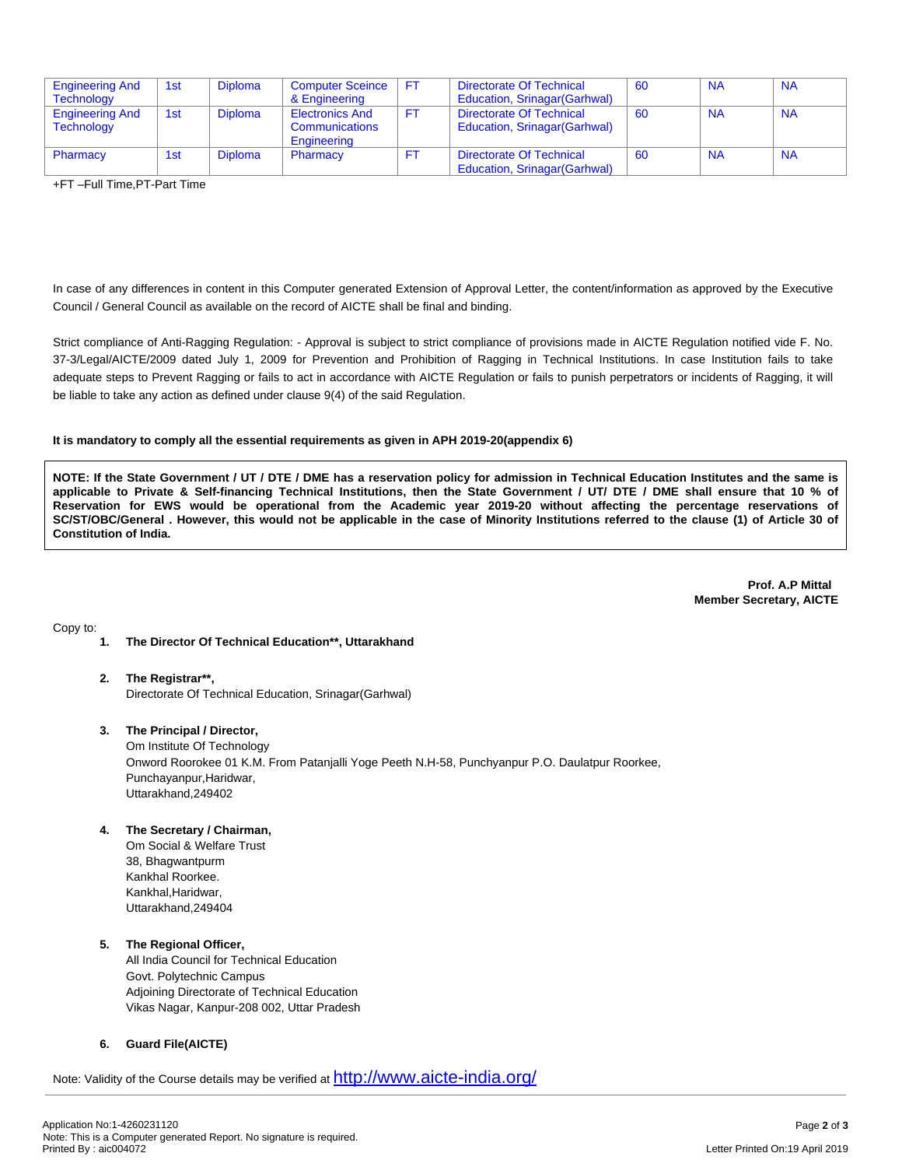| <b>Engineering And</b>                      | 1st | <b>Diploma</b> | <b>Computer Sceince</b>                                 | FT  | Directorate Of Technical                                         | 60 | <b>NA</b> | <b>NA</b> |
|---------------------------------------------|-----|----------------|---------------------------------------------------------|-----|------------------------------------------------------------------|----|-----------|-----------|
| <b>Technology</b>                           |     |                | & Engineering                                           |     | <b>Education, Srinagar (Garhwal)</b>                             |    |           |           |
| <b>Engineering And</b><br><b>Technology</b> | 1st | <b>Diploma</b> | <b>Electronics And</b><br>Communications<br>Engineering | FT. | Directorate Of Technical<br>Education, Srinagar (Garhwal)        | 60 | <b>NA</b> | <b>NA</b> |
| Pharmacy                                    | 1st | <b>Diploma</b> | Pharmacy                                                | FT. | Directorate Of Technical<br><b>Education, Srinagar (Garhwal)</b> | 60 | <b>NA</b> | <b>NA</b> |

+FT –Full Time,PT-Part Time

In case of any differences in content in this Computer generated Extension of Approval Letter, the content/information as approved by the Executive Council / General Council as available on the record of AICTE shall be final and binding.

Strict compliance of Anti-Ragging Regulation: - Approval is subject to strict compliance of provisions made in AICTE Regulation notified vide F. No. 37-3/Legal/AICTE/2009 dated July 1, 2009 for Prevention and Prohibition of Ragging in Technical Institutions. In case Institution fails to take adequate steps to Prevent Ragging or fails to act in accordance with AICTE Regulation or fails to punish perpetrators or incidents of Ragging, it will be liable to take any action as defined under clause 9(4) of the said Regulation.

### **It is mandatory to comply all the essential requirements as given in APH 2019-20(appendix 6)**

NOTE: If the State Government / UT / DTE / DME has a reservation policy for admission in Technical Education Institutes and the same is applicable to Private & Self-financing Technical Institutions, then the State Government / UT/ DTE / DME shall ensure that 10 % of Reservation for EWS would be operational from the Academic year 2019-20 without affecting the percentage reservations of SC/ST/OBC/General . However, this would not be applicable in the case of Minority Institutions referred to the clause (1) of Article 30 of **Constitution of India.**

> **Prof. A.P Mittal Member Secretary, AICTE**

Copy to:

- **1. The Director Of Technical Education\*\*, Uttarakhand**
- **2. The Registrar\*\*,** Directorate Of Technical Education, Srinagar(Garhwal)

## **3. The Principal / Director,**

Om Institute Of Technology Onword Roorokee 01 K.M. From Patanjalli Yoge Peeth N.H-58, Punchyanpur P.O. Daulatpur Roorkee, Punchayanpur,Haridwar, Uttarakhand,249402

- **4. The Secretary / Chairman,**
	- Om Social & Welfare Trust 38, Bhagwantpurm Kankhal Roorkee. Kankhal,Haridwar, Uttarakhand,249404

### **5. The Regional Officer,**

All India Council for Technical Education Govt. Polytechnic Campus Adjoining Directorate of Technical Education Vikas Nagar, Kanpur-208 002, Uttar Pradesh

### **6. Guard File(AICTE)**

Note: Validity of the Course details may be verified at <http://www.aicte-india.org/>